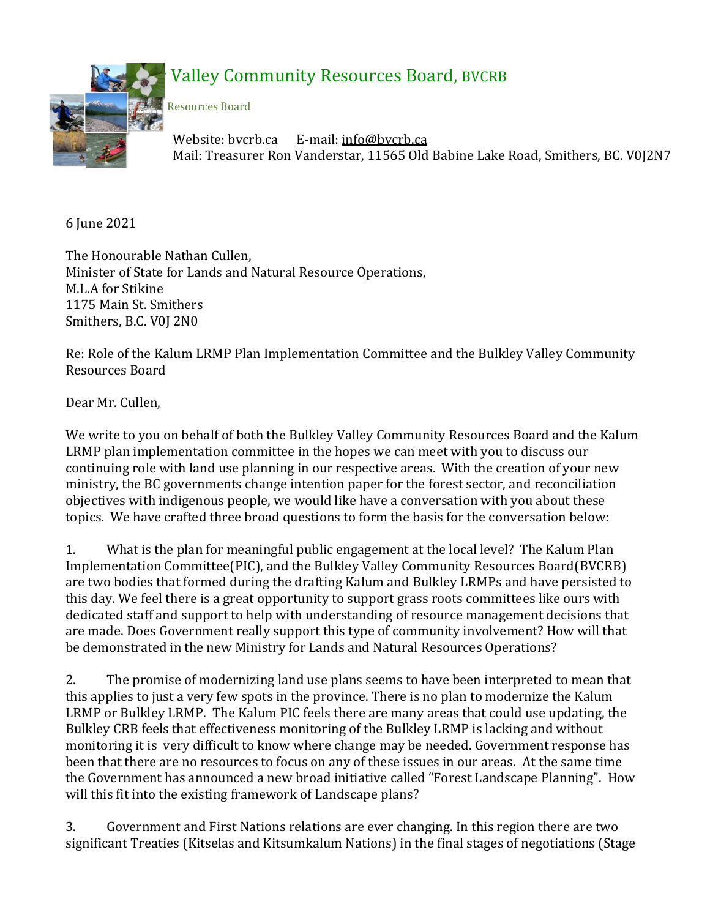

## Valley Community Resources Board, BVCRB

Resources Board

Website: bvcrb.ca E-mail: [info@bvcrb.ca](mailto:info@bvcrb.ca)  Mail: Treasurer Ron Vanderstar, 11565 Old Babine Lake Road, Smithers, BC. V0J2N7

6 June 2021

The Honourable Nathan Cullen, Minister of State for Lands and Natural Resource Operations, M.L.A for Stikine 1175 Main St. Smithers Smithers, B.C. V0J 2N0

Re: Role of the Kalum LRMP Plan Implementation Committee and the Bulkley Valley Community Resources Board

Dear Mr. Cullen,

We write to you on behalf of both the Bulkley Valley Community Resources Board and the Kalum LRMP plan implementation committee in the hopes we can meet with you to discuss our continuing role with land use planning in our respective areas. With the creation of your new ministry, the BC governments change intention paper for the forest sector, and reconciliation objectives with indigenous people, we would like have a conversation with you about these topics. We have crafted three broad questions to form the basis for the conversation below:

1. What is the plan for meaningful public engagement at the local level? The Kalum Plan Implementation Committee(PIC), and the Bulkley Valley Community Resources Board(BVCRB) are two bodies that formed during the drafting Kalum and Bulkley LRMPs and have persisted to this day. We feel there is a great opportunity to support grass roots committees like ours with dedicated staff and support to help with understanding of resource management decisions that are made. Does Government really support this type of community involvement? How will that be demonstrated in the new Ministry for Lands and Natural Resources Operations?

2. The promise of modernizing land use plans seems to have been interpreted to mean that this applies to just a very few spots in the province. There is no plan to modernize the Kalum LRMP or Bulkley LRMP. The Kalum PIC feels there are many areas that could use updating, the Bulkley CRB feels that effectiveness monitoring of the Bulkley LRMP is lacking and without monitoring it is very difficult to know where change may be needed. Government response has been that there are no resources to focus on any of these issues in our areas. At the same time the Government has announced a new broad initiative called "Forest Landscape Planning". How will this fit into the existing framework of Landscape plans?

3. Government and First Nations relations are ever changing. In this region there are two significant Treaties (Kitselas and Kitsumkalum Nations) in the final stages of negotiations (Stage